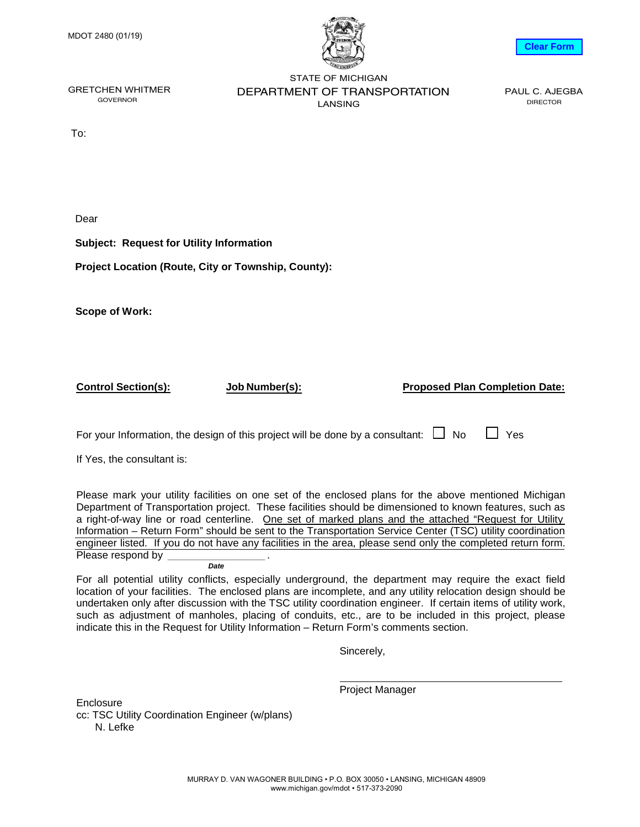

## **Clear Form**

GOVERNOR

GRETCHEN WHITMER **BEPARTMENT OF TRANSPORTATION** PAUL C. AJEGBA STATE OF MICHIGAN LANSING

DIRECTOR

To:

Dear

**Subject: Request for Utility Information**

**Project Location (Route, City or Township, County):**

**Scope of Work:**

**Control Section(s): Job Number(s):**

**Proposed Plan Completion Date:** 

For your Information, the design of this project will be done by a consultant:  $\Box$  No  $\Box$  Yes

If Yes, the consultant is:

Please mark your utility facilities on one set of the enclosed plans for the above mentioned Michigan Department of Transportation project. These facilities should be dimensioned to known features, such as a right-of-way line or road centerline. One set of marked plans and the attached "Request for Utility Information – Return Form" should be sent to the Transportation Service Center (TSC) utility coordination engineer listed. If you do not have any facilities in the area, please send only the completed return form. Please respond by . **\_\_\_\_\_\_\_\_\_\_\_\_\_\_\_\_\_\_\_\_\_**

**Date**

For all potential utility conflicts, especially underground, the department may require the exact field location of your facilities. The enclosed plans are incomplete, and any utility relocation design should be undertaken only after discussion with the TSC utility coordination engineer. If certain items of utility work, such as adjustment of manholes, placing of conduits, etc., are to be included in this project, please indicate this in the Request for Utility Information – Return Form's comments section.

Sincerely,

**Enclosure** cc: TSC Utility Coordination Engineer (w/plans) N. Lefke

Project Manager